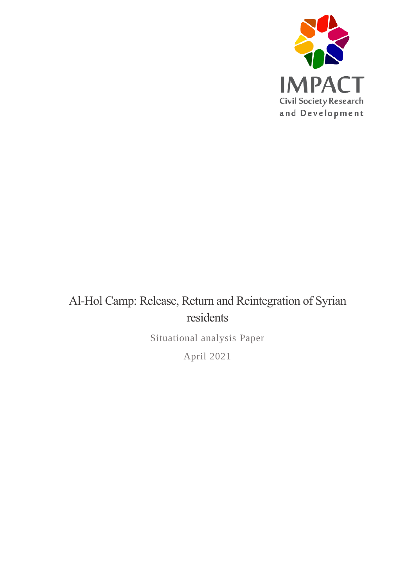

# Al-Hol Camp: Release, Return and Reintegration of Syrian residents

Situational analysis Paper

April 2021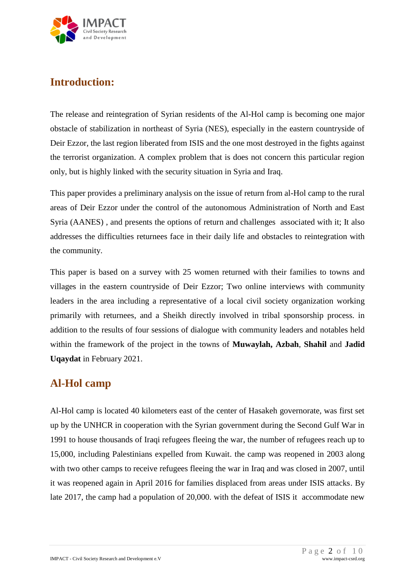

# **Introduction:**

The release and reintegration of Syrian residents of the Al-Hol camp is becoming one major obstacle of stabilization in northeast of Syria (NES), especially in the eastern countryside of Deir Ezzor, the last region liberated from ISIS and the one most destroyed in the fights against the terrorist organization. A complex problem that is does not concern this particular region only, but is highly linked with the security situation in Syria and Iraq.

This paper provides a preliminary analysis on the issue of return from al-Hol camp to the rural areas of Deir Ezzor under the control of the autonomous Administration of North and East Syria (AANES) , and presents the options of return and challenges associated with it; It also addresses the difficulties returnees face in their daily life and obstacles to reintegration with the community.

This paper is based on a survey with 25 women returned with their families to towns and villages in the eastern countryside of Deir Ezzor; Two online interviews with community leaders in the area including a representative of a local civil society organization working primarily with returnees, and a Sheikh directly involved in tribal sponsorship process. in addition to the results of four sessions of dialogue with community leaders and notables held within the framework of the project in the towns of **Muwaylah, Azbah**, **Shahil** and **Jadid Uqaydat** in February 2021.

# **Al-Hol camp**

Al-Hol camp is located 40 kilometers east of the center of Hasakeh governorate, was first set up by the UNHCR in cooperation with the Syrian government during the Second Gulf War in 1991 to house thousands of Iraqi refugees fleeing the war, the number of refugees reach up to 15,000, including Palestinians expelled from Kuwait. the camp was reopened in 2003 along with two other camps to receive refugees fleeing the war in Iraq and was closed in 2007, until it was reopened again in April 2016 for families displaced from areas under ISIS attacks. By late 2017, the camp had a population of 20,000. with the defeat of ISIS it accommodate new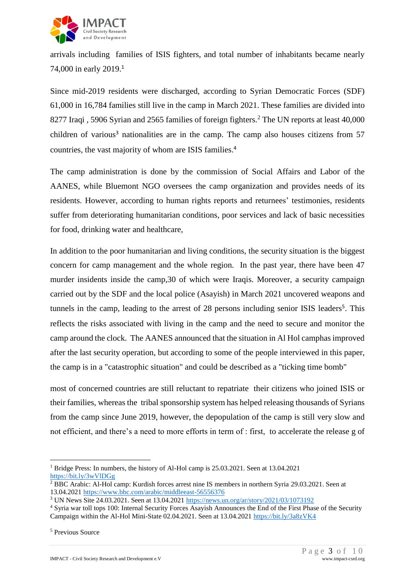

arrivals including families of ISIS fighters, and total number of inhabitants became nearly 74,000 in early 2019.<sup>1</sup>

Since mid-2019 residents were discharged, according to Syrian Democratic Forces (SDF) 61,000 in 16,784 families still live in the camp in March 2021. These families are divided into 8277 Iraqi, 5906 Syrian and 2565 families of foreign fighters.<sup>2</sup> The UN reports at least 40,000 children of various<sup>3</sup> nationalities are in the camp. The camp also houses citizens from 57 countries, the vast majority of whom are ISIS families. 4

The camp administration is done by the commission of Social Affairs and Labor of the AANES, while Bluemont NGO oversees the camp organization and provides needs of its residents. However, according to human rights reports and returnees' testimonies, residents suffer from deteriorating humanitarian conditions, poor services and lack of basic necessities for food, drinking water and healthcare,

In addition to the poor humanitarian and living conditions, the security situation is the biggest concern for camp management and the whole region. In the past year, there have been 47 murder insidents inside the camp,30 of which were Iraqis. Moreover, a security campaign carried out by the SDF and the local police (Asayish) in March 2021 uncovered weapons and tunnels in the camp, leading to the arrest of 28 persons including senior ISIS leaders<sup>5</sup>. This reflects the risks associated with living in the camp and the need to secure and monitor the camp around the clock. The AANES announced that the situation in Al Hol camphas improved after the last security operation, but according to some of the people interviewed in this paper, the camp is in a "catastrophic situation" and could be described as a "ticking time bomb"

most of concerned countries are still reluctant to repatriate their citizens who joined ISIS or their families, whereas the tribal sponsorship system has helped releasing thousands of Syrians from the camp since June 2019, however, the depopulation of the camp is still very slow and not efficient, and there's a need to more efforts in term of : first, to accelerate the release g of

<sup>&</sup>lt;u>.</u> <sup>1</sup> Bridge Press: In numbers, the history of Al-Hol camp is 25.03.2021. Seen at 13.04.2021 <https://bit.ly/3wVlDGg>

<sup>&</sup>lt;sup>2</sup> BBC Arabic: Al-Hol camp: Kurdish forces arrest nine IS members in northern Syria 29.03.2021. Seen at 13.04.202[1 https://www.bbc.com/arabic/middleeast-56556376](https://www.bbc.com/arabic/middleeast-56556376)

<sup>&</sup>lt;sup>3</sup> UN News Site 24.03.2021. Seen at 13.04.2021<https://news.un.org/ar/story/2021/03/1073192>

<sup>4</sup> Syria war toll tops 100: Internal Security Forces Asayish Announces the End of the First Phase of the Security Campaign within the Al-Hol Mini-State 02.04.2021. Seen at 13.04.202[1 https://bit.ly/3a8zVK4](https://bit.ly/3a8zVK4)

<sup>5</sup> Previous Source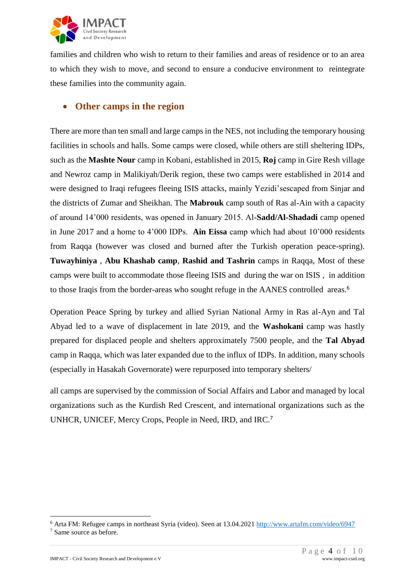

families and children who wish to return to their families and areas of residence or to an area to which they wish to move, and second to ensure a conducive environment to reintegrate these families into the community again.

#### • **Other camps in the region**

There are more than ten small and large camps in the NES, not including the temporary housing facilities in schools and halls. Some camps were closed, while others are still sheltering IDPs, such as the **Mashte Nour** camp in Kobani, established in 2015, **Roj** camp in Gire Resh village and Newroz camp in Malikiyah/Derik region, these two camps were established in 2014 and were designed to Iraqi refugees fleeing ISIS attacks, mainly Yezidi'sescaped from Sinjar and the districts of Zumar and Sheikhan. The **Mabrouk** camp south of Ras al-Ain with a capacity of around 14'000 residents, was opened in January 2015. Al-**Sadd/Al-Shadadi** camp opened in June 2017 and a home to 4'000 IDPs. **Ain Eissa** camp which had about 10'000 residents from Raqqa (however was closed and burned after the Turkish operation peace-spring). **Tuwayhiniya** , **Abu Khashab camp**, **Rashid and Tashrin** camps in Raqqa, Most of these camps were built to accommodate those fleeing ISIS and during the war on ISIS , in addition to those Iraqis from the border-areas who sought refuge in the AANES controlled areas.<sup>6</sup>

Operation Peace Spring by turkey and allied Syrian National Army in Ras al-Ayn and Tal Abyad led to a wave of displacement in late 2019, and the **Washokani** camp was hastly prepared for displaced people and shelters approximately 7500 people, and the **Tal Abyad** camp in Raqqa, which was later expanded due to the influx of IDPs. In addition, many schools (especially in Hasakah Governorate) were repurposed into temporary shelters/

all camps are supervised by the commission of Social Affairs and Labor and managed by local organizations such as the Kurdish Red Crescent, and international organizations such as the UNHCR, UNICEF, Mercy Crops, People in Need, IRD, and IRC.<sup>7</sup>

<u>.</u>

<sup>6</sup> Arta FM: Refugee camps in northeast Syria (video). Seen at 13.04.202[1 http://www.artafm.com/video/6947](http://www.artafm.com/video/6947)

<sup>7</sup> Same source as before.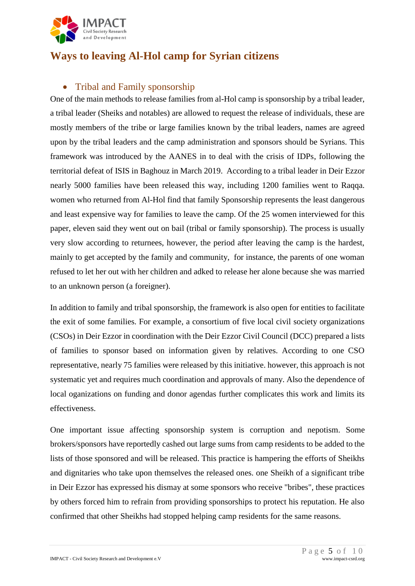

# **Ways to leaving Al-Hol camp for Syrian citizens**

### • Tribal and Family sponsorship

One of the main methods to release families from al-Hol camp is sponsorship by a tribal leader, a tribal leader (Sheiks and notables) are allowed to request the release of individuals, these are mostly members of the tribe or large families known by the tribal leaders, names are agreed upon by the tribal leaders and the camp administration and sponsors should be Syrians. This framework was introduced by the AANES in to deal with the crisis of IDPs, following the territorial defeat of ISIS in Baghouz in March 2019. According to a tribal leader in Deir Ezzor nearly 5000 families have been released this way, including 1200 families went to Raqqa. women who returned from Al-Hol find that family Sponsorship represents the least dangerous and least expensive way for families to leave the camp. Of the 25 women interviewed for this paper, eleven said they went out on bail (tribal or family sponsorship). The process is usually very slow according to returnees, however, the period after leaving the camp is the hardest, mainly to get accepted by the family and community, for instance, the parents of one woman refused to let her out with her children and adked to release her alone because she was married to an unknown person (a foreigner).

In addition to family and tribal sponsorship, the framework is also open for entities to facilitate the exit of some families. For example, a consortium of five local civil society organizations (CSOs) in Deir Ezzor in coordination with the Deir Ezzor Civil Council (DCC) prepared a lists of families to sponsor based on information given by relatives. According to one CSO representative, nearly 75 families were released by this initiative. however, this approach is not systematic yet and requires much coordination and approvals of many. Also the dependence of local oganizations on funding and donor agendas further complicates this work and limits its effectiveness.

One important issue affecting sponsorship system is corruption and nepotism. Some brokers/sponsors have reportedly cashed out large sums from camp residents to be added to the lists of those sponsored and will be released. This practice is hampering the efforts of Sheikhs and dignitaries who take upon themselves the released ones. one Sheikh of a significant tribe in Deir Ezzor has expressed his dismay at some sponsors who receive "bribes", these practices by others forced him to refrain from providing sponsorships to protect his reputation. He also confirmed that other Sheikhs had stopped helping camp residents for the same reasons.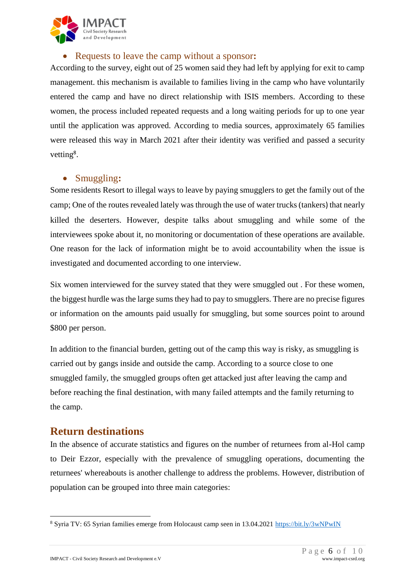

#### • Requests to leave the camp without a sponsor**:**

According to the survey, eight out of 25 women said they had left by applying for exit to camp management. this mechanism is available to families living in the camp who have voluntarily entered the camp and have no direct relationship with ISIS members. According to these women, the process included repeated requests and a long waiting periods for up to one year until the application was approved. According to media sources, approximately 65 families were released this way in March 2021 after their identity was verified and passed a security vetting<sup>8</sup>.

#### • Smuggling**:**

Some residents Resort to illegal ways to leave by paying smugglers to get the family out of the camp; One of the routes revealed lately was through the use of water trucks (tankers) that nearly killed the deserters. However, despite talks about smuggling and while some of the interviewees spoke about it, no monitoring or documentation of these operations are available. One reason for the lack of information might be to avoid accountability when the issue is investigated and documented according to one interview.

Six women interviewed for the survey stated that they were smuggled out . For these women, the biggest hurdle was the large sums they had to pay to smugglers. There are no precise figures or information on the amounts paid usually for smuggling, but some sources point to around \$800 per person.

In addition to the financial burden, getting out of the camp this way is risky, as smuggling is carried out by gangs inside and outside the camp. According to a source close to one smuggled family, the smuggled groups often get attacked just after leaving the camp and before reaching the final destination, with many failed attempts and the family returning to the camp.

### **Return destinations**

In the absence of accurate statistics and figures on the number of returnees from al-Hol camp to Deir Ezzor, especially with the prevalence of smuggling operations, documenting the returnees' whereabouts is another challenge to address the problems. However, distribution of population can be grouped into three main categories:

<u>.</u>

<sup>8</sup> Syria TV: 65 Syrian families emerge from Holocaust camp seen in 13.04.2021<https://bit.ly/3wNPwIN>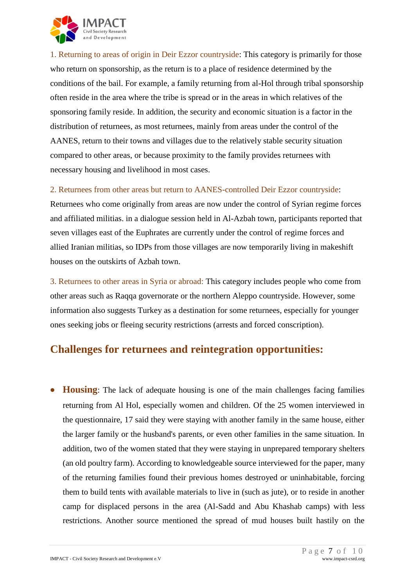

1. Returning to areas of origin in Deir Ezzor countryside: This category is primarily for those who return on sponsorship, as the return is to a place of residence determined by the conditions of the bail. For example, a family returning from al-Hol through tribal sponsorship often reside in the area where the tribe is spread or in the areas in which relatives of the sponsoring family reside. In addition, the security and economic situation is a factor in the distribution of returnees, as most returnees, mainly from areas under the control of the AANES, return to their towns and villages due to the relatively stable security situation compared to other areas, or because proximity to the family provides returnees with necessary housing and livelihood in most cases.

#### 2. Returnees from other areas but return to AANES-controlled Deir Ezzor countryside:

Returnees who come originally from areas are now under the control of Syrian regime forces and affiliated militias. in a dialogue session held in Al-Azbah town, participants reported that seven villages east of the Euphrates are currently under the control of regime forces and allied Iranian militias, so IDPs from those villages are now temporarily living in makeshift houses on the outskirts of Azbah town.

3. Returnees to other areas in Syria or abroad: This category includes people who come from other areas such as Raqqa governorate or the northern Aleppo countryside. However, some information also suggests Turkey as a destination for some returnees, especially for younger ones seeking jobs or fleeing security restrictions (arrests and forced conscription).

# **Challenges for returnees and reintegration opportunities:**

• **Housing**: The lack of adequate housing is one of the main challenges facing families returning from Al Hol, especially women and children. Of the 25 women interviewed in the questionnaire, 17 said they were staying with another family in the same house, either the larger family or the husband's parents, or even other families in the same situation. In addition, two of the women stated that they were staying in unprepared temporary shelters (an old poultry farm). According to knowledgeable source interviewed for the paper, many of the returning families found their previous homes destroyed or uninhabitable, forcing them to build tents with available materials to live in (such as jute), or to reside in another camp for displaced persons in the area (Al-Sadd and Abu Khashab camps) with less restrictions. Another source mentioned the spread of mud houses built hastily on the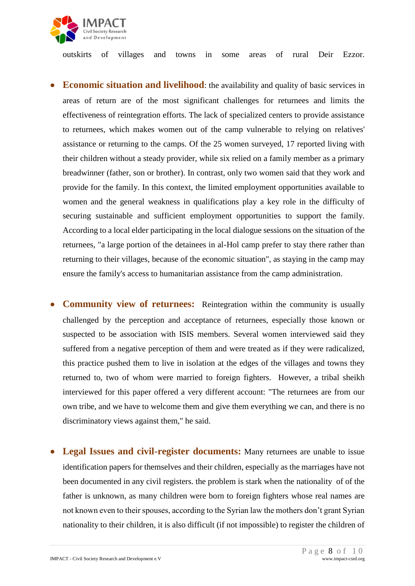

outskirts of villages and towns in some areas of rural Deir Ezzor.

- **Economic situation and livelihood**: the availability and quality of basic services in areas of return are of the most significant challenges for returnees and limits the effectiveness of reintegration efforts. The lack of specialized centers to provide assistance to returnees, which makes women out of the camp vulnerable to relying on relatives' assistance or returning to the camps. Of the 25 women surveyed, 17 reported living with their children without a steady provider, while six relied on a family member as a primary breadwinner (father, son or brother). In contrast, only two women said that they work and provide for the family. In this context, the limited employment opportunities available to women and the general weakness in qualifications play a key role in the difficulty of securing sustainable and sufficient employment opportunities to support the family. According to a local elder participating in the local dialogue sessions on the situation of the returnees, "a large portion of the detainees in al-Hol camp prefer to stay there rather than returning to their villages, because of the economic situation", as staying in the camp may ensure the family's access to humanitarian assistance from the camp administration.
- **Community view of returnees:** Reintegration within the community is usually challenged by the perception and acceptance of returnees, especially those known or suspected to be association with ISIS members. Several women interviewed said they suffered from a negative perception of them and were treated as if they were radicalized, this practice pushed them to live in isolation at the edges of the villages and towns they returned to, two of whom were married to foreign fighters. However, a tribal sheikh interviewed for this paper offered a very different account: "The returnees are from our own tribe, and we have to welcome them and give them everything we can, and there is no discriminatory views against them," he said.
- **Legal Issues and civil-register documents:** Many returnees are unable to issue identification papers for themselves and their children, especially as the marriages have not been documented in any civil registers. the problem is stark when the nationality of of the father is unknown, as many children were born to foreign fighters whose real names are not known even to their spouses, according to the Syrian law the mothers don't grant Syrian nationality to their children, it is also difficult (if not impossible) to register the children of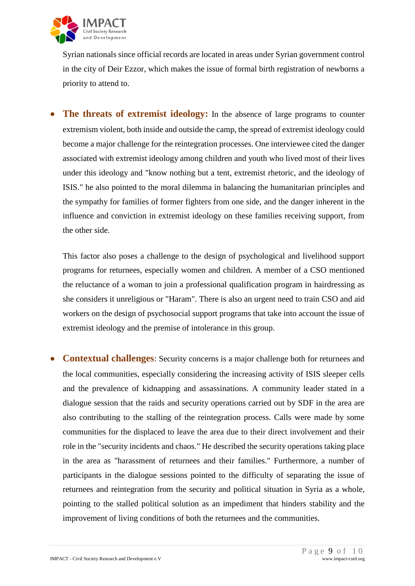

Syrian nationals since official records are located in areas under Syrian government control in the city of Deir Ezzor, which makes the issue of formal birth registration of newborns a priority to attend to.

• **The threats of extremist ideology:** In the absence of large programs to counter extremism violent, both inside and outside the camp, the spread of extremist ideology could become a major challenge for the reintegration processes. One interviewee cited the danger associated with extremist ideology among children and youth who lived most of their lives under this ideology and "know nothing but a tent, extremist rhetoric, and the ideology of ISIS." he also pointed to the moral dilemma in balancing the humanitarian principles and the sympathy for families of former fighters from one side, and the danger inherent in the influence and conviction in extremist ideology on these families receiving support, from the other side.

This factor also poses a challenge to the design of psychological and livelihood support programs for returnees, especially women and children. A member of a CSO mentioned the reluctance of a woman to join a professional qualification program in hairdressing as she considers it unreligious or "Haram". There is also an urgent need to train CSO and aid workers on the design of psychosocial support programs that take into account the issue of extremist ideology and the premise of intolerance in this group.

• **Contextual challenges**: Security concerns is a major challenge both for returnees and the local communities, especially considering the increasing activity of ISIS sleeper cells and the prevalence of kidnapping and assassinations. A community leader stated in a dialogue session that the raids and security operations carried out by SDF in the area are also contributing to the stalling of the reintegration process. Calls were made by some communities for the displaced to leave the area due to their direct involvement and their role in the "security incidents and chaos." He described the security operations taking place in the area as "harassment of returnees and their families." Furthermore, a number of participants in the dialogue sessions pointed to the difficulty of separating the issue of returnees and reintegration from the security and political situation in Syria as a whole, pointing to the stalled political solution as an impediment that hinders stability and the improvement of living conditions of both the returnees and the communities.